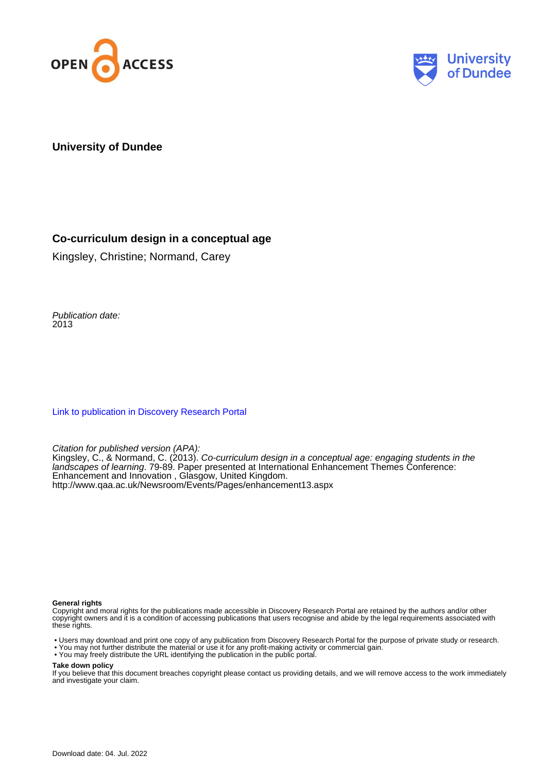



#### **University of Dundee**

#### **Co-curriculum design in a conceptual age**

Kingsley, Christine; Normand, Carey

Publication date: 2013

[Link to publication in Discovery Research Portal](https://discovery.dundee.ac.uk/en/publications/be8fecfc-2d0c-4e60-b31e-6a6b53090a28)

Citation for published version (APA):

Kingsley, C., & Normand, C. (2013). Co-curriculum design in a conceptual age: engaging students in the landscapes of learning. 79-89. Paper presented at International Enhancement Themes Conference: Enhancement and Innovation , Glasgow, United Kingdom. <http://www.qaa.ac.uk/Newsroom/Events/Pages/enhancement13.aspx>

#### **General rights**

Copyright and moral rights for the publications made accessible in Discovery Research Portal are retained by the authors and/or other copyright owners and it is a condition of accessing publications that users recognise and abide by the legal requirements associated with these rights.

• Users may download and print one copy of any publication from Discovery Research Portal for the purpose of private study or research.

- You may not further distribute the material or use it for any profit-making activity or commercial gain.
- You may freely distribute the URL identifying the publication in the public portal.

#### **Take down policy**

If you believe that this document breaches copyright please contact us providing details, and we will remove access to the work immediately and investigate your claim.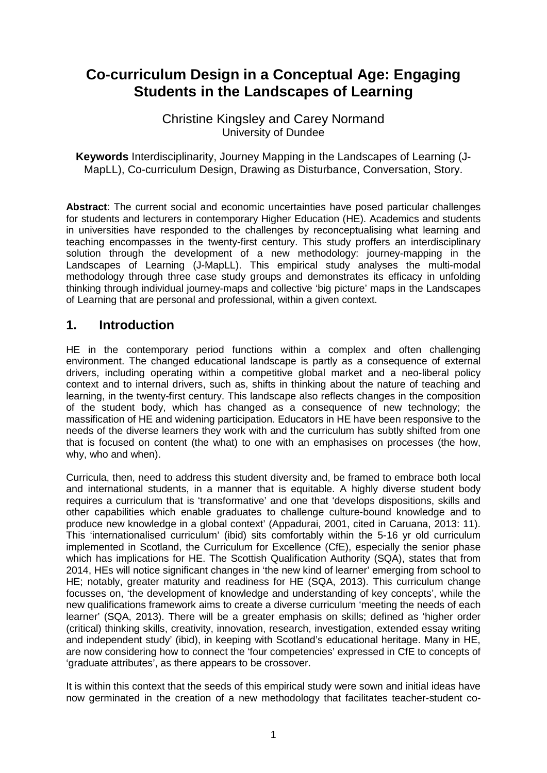# **Co-curriculum Design in a Conceptual Age: Engaging Students in the Landscapes of Learning**

### Christine Kingsley and Carey Normand University of Dundee

**Keywords** Interdisciplinarity, Journey Mapping in the Landscapes of Learning (J-MapLL), Co-curriculum Design, Drawing as Disturbance, Conversation, Story.

**Abstract**: The current social and economic uncertainties have posed particular challenges for students and lecturers in contemporary Higher Education (HE). Academics and students in universities have responded to the challenges by reconceptualising what learning and teaching encompasses in the twenty-first century. This study proffers an interdisciplinary solution through the development of a new methodology: journey-mapping in the Landscapes of Learning (J-MapLL). This empirical study analyses the multi-modal methodology through three case study groups and demonstrates its efficacy in unfolding thinking through individual journey-maps and collective 'big picture' maps in the Landscapes of Learning that are personal and professional, within a given context.

### **1. Introduction**

HE in the contemporary period functions within a complex and often challenging environment. The changed educational landscape is partly as a consequence of external drivers, including operating within a competitive global market and a neo-liberal policy context and to internal drivers, such as, shifts in thinking about the nature of teaching and learning, in the twenty-first century. This landscape also reflects changes in the composition of the student body, which has changed as a consequence of new technology; the massification of HE and widening participation. Educators in HE have been responsive to the needs of the diverse learners they work with and the curriculum has subtly shifted from one that is focused on content (the what) to one with an emphasises on processes (the how, why, who and when).

Curricula, then, need to address this student diversity and, be framed to embrace both local and international students, in a manner that is equitable. A highly diverse student body requires a curriculum that is 'transformative' and one that 'develops dispositions, skills and other capabilities which enable graduates to challenge culture-bound knowledge and to produce new knowledge in a global context' (Appadurai, 2001, cited in Caruana, 2013: 11). This 'internationalised curriculum' (ibid) sits comfortably within the 5-16 yr old curriculum implemented in Scotland, the Curriculum for Excellence (CfE), especially the senior phase which has implications for HE. The Scottish Qualification Authority (SQA), states that from 2014, HEs will notice significant changes in 'the new kind of learner' emerging from school to HE; notably, greater maturity and readiness for HE (SQA, 2013). This curriculum change focusses on, 'the development of knowledge and understanding of key concepts', while the new qualifications framework aims to create a diverse curriculum 'meeting the needs of each learner' (SQA, 2013). There will be a greater emphasis on skills; defined as 'higher order (critical) thinking skills, creativity, innovation, research, investigation, extended essay writing and independent study' (ibid), in keeping with Scotland's educational heritage. Many in HE, are now considering how to connect the 'four competencies' expressed in CfE to concepts of 'graduate attributes', as there appears to be crossover.

It is within this context that the seeds of this empirical study were sown and initial ideas have now germinated in the creation of a new methodology that facilitates teacher-student co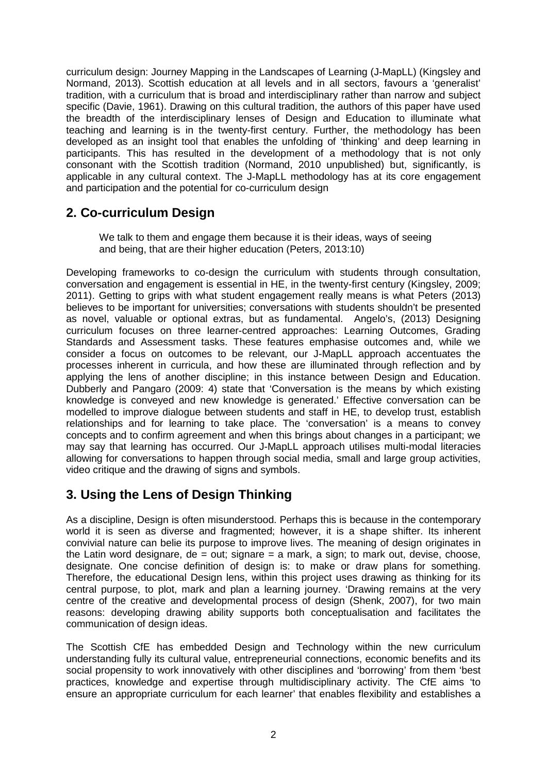curriculum design: Journey Mapping in the Landscapes of Learning (J-MapLL) (Kingsley and Normand, 2013). Scottish education at all levels and in all sectors, favours a 'generalist' tradition, with a curriculum that is broad and interdisciplinary rather than narrow and subject specific (Davie, 1961). Drawing on this cultural tradition, the authors of this paper have used the breadth of the interdisciplinary lenses of Design and Education to illuminate what teaching and learning is in the twenty-first century. Further, the methodology has been developed as an insight tool that enables the unfolding of 'thinking' and deep learning in participants. This has resulted in the development of a methodology that is not only consonant with the Scottish tradition (Normand, 2010 unpublished) but, significantly, is applicable in any cultural context. The J-MapLL methodology has at its core engagement and participation and the potential for co-curriculum design

# **2. Co-curriculum Design**

We talk to them and engage them because it is their ideas, ways of seeing and being, that are their higher education (Peters, 2013:10)

Developing frameworks to co-design the curriculum with students through consultation, conversation and engagement is essential in HE, in the twenty-first century (Kingsley, 2009; 2011). Getting to grips with what student engagement really means is what Peters (2013) believes to be important for universities; conversations with students shouldn't be presented as novel, valuable or optional extras, but as fundamental. Angelo's, (2013) Designing curriculum focuses on three learner-centred approaches: Learning Outcomes, Grading Standards and Assessment tasks. These features emphasise outcomes and, while we consider a focus on outcomes to be relevant, our J-MapLL approach accentuates the processes inherent in curricula, and how these are illuminated through reflection and by applying the lens of another discipline; in this instance between Design and Education. Dubberly and Pangaro (2009: 4) state that 'Conversation is the means by which existing knowledge is conveyed and new knowledge is generated.' Effective conversation can be modelled to improve dialogue between students and staff in HE, to develop trust, establish relationships and for learning to take place. The 'conversation' is a means to convey concepts and to confirm agreement and when this brings about changes in a participant; we may say that learning has occurred. Our J-MapLL approach utilises multi-modal literacies allowing for conversations to happen through social media, small and large group activities, video critique and the drawing of signs and symbols.

# **3. Using the Lens of Design Thinking**

As a discipline, Design is often misunderstood. Perhaps this is because in the contemporary world it is seen as diverse and fragmented; however, it is a shape shifter. Its inherent convivial nature can belie its purpose to improve lives. The meaning of design originates in the Latin word designare, de = out; signare = a mark, a sign; to mark out, devise, choose, designate. One concise definition of design is: to make or draw plans for something. Therefore, the educational Design lens, within this project uses drawing as thinking for its central purpose, to plot, mark and plan a learning journey. 'Drawing remains at the very centre of the creative and developmental process of design (Shenk, 2007), for two main reasons: developing drawing ability supports both conceptualisation and facilitates the communication of design ideas.

The Scottish CfE has embedded Design and Technology within the new curriculum understanding fully its cultural value, entrepreneurial connections, economic benefits and its social propensity to work innovatively with other disciplines and 'borrowing' from them 'best practices, knowledge and expertise through multidisciplinary activity. The CfE aims 'to ensure an appropriate curriculum for each learner' that enables flexibility and establishes a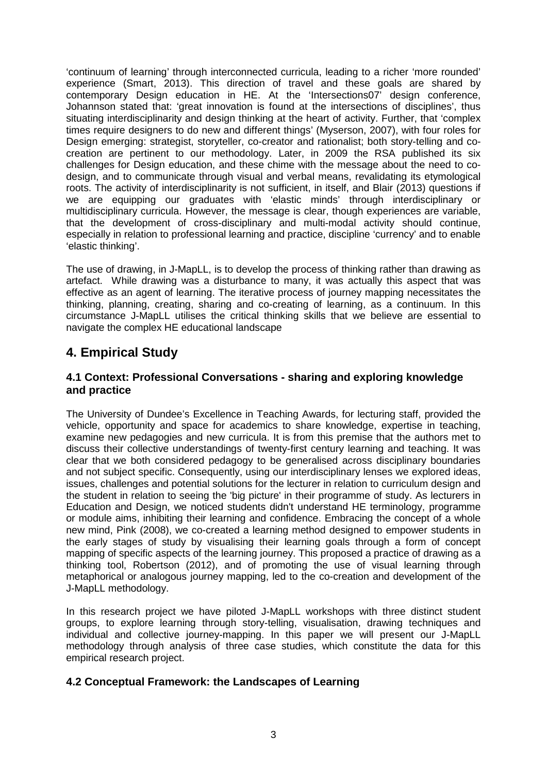'continuum of learning' through interconnected curricula, leading to a richer 'more rounded' experience (Smart, 2013). This direction of travel and these goals are shared by contemporary Design education in HE. At the 'Intersections07' design conference, Johannson stated that: 'great innovation is found at the intersections of disciplines', thus situating interdisciplinarity and design thinking at the heart of activity. Further, that 'complex times require designers to do new and different things' (Myserson, 2007), with four roles for Design emerging: strategist, storyteller, co-creator and rationalist; both story-telling and cocreation are pertinent to our methodology. Later, in 2009 the RSA published its six challenges for Design education, and these chime with the message about the need to codesign, and to communicate through visual and verbal means, revalidating its etymological roots. The activity of interdisciplinarity is not sufficient, in itself, and Blair (2013) questions if we are equipping our graduates with 'elastic minds' through interdisciplinary or multidisciplinary curricula. However, the message is clear, though experiences are variable, that the development of cross-disciplinary and multi-modal activity should continue, especially in relation to professional learning and practice, discipline 'currency' and to enable 'elastic thinking'.

The use of drawing, in J-MapLL, is to develop the process of thinking rather than drawing as artefact. While drawing was a disturbance to many, it was actually this aspect that was effective as an agent of learning. The iterative process of journey mapping necessitates the thinking, planning, creating, sharing and co-creating of learning, as a continuum. In this circumstance J-MapLL utilises the critical thinking skills that we believe are essential to navigate the complex HE educational landscape

# **4. Empirical Study**

### **4.1 Context: Professional Conversations - sharing and exploring knowledge and practice**

The University of Dundee's Excellence in Teaching Awards, for lecturing staff, provided the vehicle, opportunity and space for academics to share knowledge, expertise in teaching, examine new pedagogies and new curricula. It is from this premise that the authors met to discuss their collective understandings of twenty-first century learning and teaching. It was clear that we both considered pedagogy to be generalised across disciplinary boundaries and not subject specific. Consequently, using our interdisciplinary lenses we explored ideas, issues, challenges and potential solutions for the lecturer in relation to curriculum design and the student in relation to seeing the 'big picture' in their programme of study. As lecturers in Education and Design, we noticed students didn't understand HE terminology, programme or module aims, inhibiting their learning and confidence. Embracing the concept of a whole new mind, Pink (2008), we co-created a learning method designed to empower students in the early stages of study by visualising their learning goals through a form of concept mapping of specific aspects of the learning journey. This proposed a practice of drawing as a thinking tool, Robertson (2012), and of promoting the use of visual learning through metaphorical or analogous journey mapping, led to the co-creation and development of the J-MapLL methodology.

In this research project we have piloted J-MapLL workshops with three distinct student groups, to explore learning through story-telling, visualisation, drawing techniques and individual and collective journey-mapping. In this paper we will present our J-MapLL methodology through analysis of three case studies, which constitute the data for this empirical research project.

#### **4.2 Conceptual Framework: the Landscapes of Learning**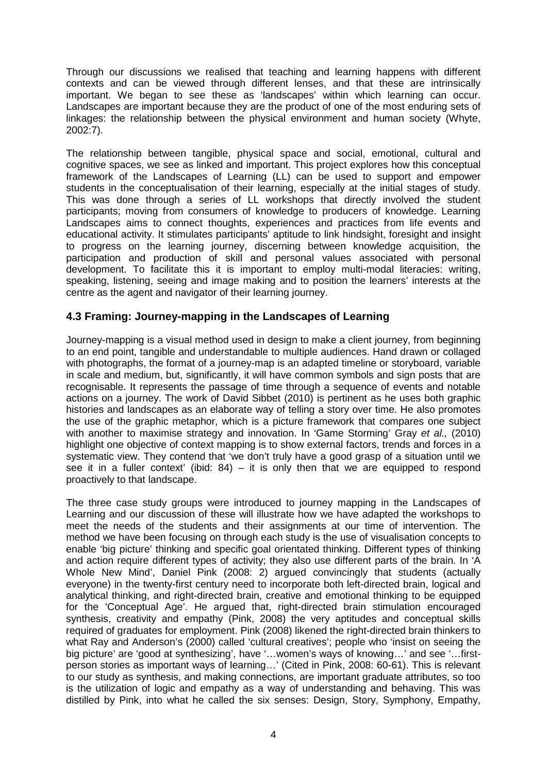Through our discussions we realised that teaching and learning happens with different contexts and can be viewed through different lenses, and that these are intrinsically important. We began to see these as 'landscapes' within which learning can occur. Landscapes are important because they are the product of one of the most enduring sets of linkages: the relationship between the physical environment and human society (Whyte, 2002:7).

The relationship between tangible, physical space and social, emotional, cultural and cognitive spaces, we see as linked and important. This project explores how this conceptual framework of the Landscapes of Learning (LL) can be used to support and empower students in the conceptualisation of their learning, especially at the initial stages of study. This was done through a series of LL workshops that directly involved the student participants; moving from consumers of knowledge to producers of knowledge. Learning Landscapes aims to connect thoughts, experiences and practices from life events and educational activity. It stimulates participants' aptitude to link hindsight, foresight and insight to progress on the learning journey, discerning between knowledge acquisition, the participation and production of skill and personal values associated with personal development. To facilitate this it is important to employ multi-modal literacies: writing, speaking, listening, seeing and image making and to position the learners' interests at the centre as the agent and navigator of their learning journey.

#### **4.3 Framing: Journey-mapping in the Landscapes of Learning**

Journey-mapping is a visual method used in design to make a client journey, from beginning to an end point, tangible and understandable to multiple audiences. Hand drawn or collaged with photographs, the format of a journey-map is an adapted timeline or storyboard, variable in scale and medium, but, significantly, it will have common symbols and sign posts that are recognisable. It represents the passage of time through a sequence of events and notable actions on a journey. The work of David Sibbet (2010) is pertinent as he uses both graphic histories and landscapes as an elaborate way of telling a story over time. He also promotes the use of the graphic metaphor, which is a picture framework that compares one subject with another to maximise strategy and innovation. In 'Game Storming' Gray *et al.,* (2010) highlight one objective of context mapping is to show external factors, trends and forces in a systematic view. They contend that 'we don't truly have a good grasp of a situation until we see it in a fuller context' (ibid:  $84$ ) – it is only then that we are equipped to respond proactively to that landscape.

The three case study groups were introduced to journey mapping in the Landscapes of Learning and our discussion of these will illustrate how we have adapted the workshops to meet the needs of the students and their assignments at our time of intervention. The method we have been focusing on through each study is the use of visualisation concepts to enable 'big picture' thinking and specific goal orientated thinking. Different types of thinking and action require different types of activity; they also use different parts of the brain. In 'A Whole New Mind', Daniel Pink (2008: 2) argued convincingly that students (actually everyone) in the twenty-first century need to incorporate both left-directed brain, logical and analytical thinking, and right-directed brain, creative and emotional thinking to be equipped for the 'Conceptual Age'. He argued that, right-directed brain stimulation encouraged synthesis, creativity and empathy (Pink, 2008) the very aptitudes and conceptual skills required of graduates for employment. Pink (2008) likened the right-directed brain thinkers to what Ray and Anderson's (2000) called 'cultural creatives'; people who 'insist on seeing the big picture' are 'good at synthesizing', have '…women's ways of knowing…' and see '…firstperson stories as important ways of learning…' (Cited in Pink, 2008: 60-61). This is relevant to our study as synthesis, and making connections, are important graduate attributes, so too is the utilization of logic and empathy as a way of understanding and behaving. This was distilled by Pink, into what he called the six senses: Design, Story, Symphony, Empathy,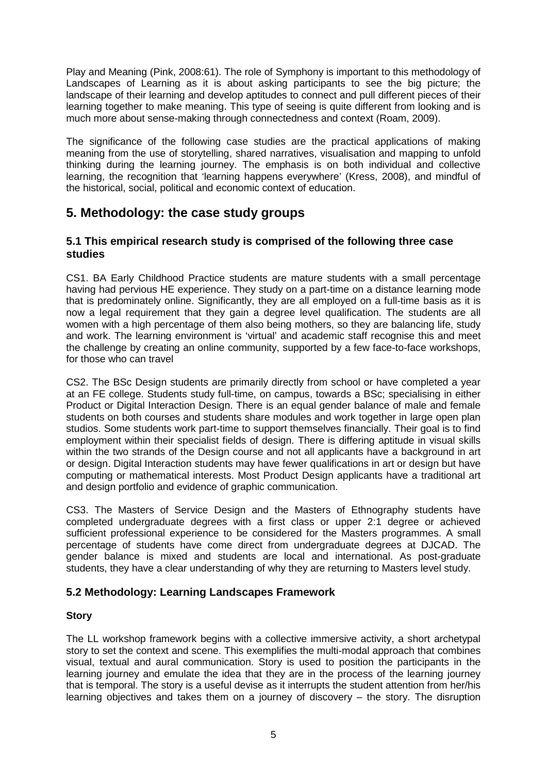Play and Meaning (Pink, 2008:61). The role of Symphony is important to this methodology of Landscapes of Learning as it is about asking participants to see the big picture; the landscape of their learning and develop aptitudes to connect and pull different pieces of their learning together to make meaning. This type of seeing is quite different from looking and is much more about sense-making through connectedness and context (Roam, 2009).

The significance of the following case studies are the practical applications of making meaning from the use of storytelling, shared narratives, visualisation and mapping to unfold thinking during the learning journey. The emphasis is on both individual and collective learning, the recognition that 'learning happens everywhere' (Kress, 2008), and mindful of the historical, social, political and economic context of education.

# **5. Methodology: the case study groups**

#### **5.1 This empirical research study is comprised of the following three case studies**

CS1. BA Early Childhood Practice students are mature students with a small percentage having had pervious HE experience. They study on a part-time on a distance learning mode that is predominately online. Significantly, they are all employed on a full-time basis as it is now a legal requirement that they gain a degree level qualification. The students are all women with a high percentage of them also being mothers, so they are balancing life, study and work. The learning environment is 'virtual' and academic staff recognise this and meet the challenge by creating an online community, supported by a few face-to-face workshops, for those who can travel

CS2. The BSc Design students are primarily directly from school or have completed a year at an FE college. Students study full-time, on campus, towards a BSc; specialising in either Product or Digital Interaction Design. There is an equal gender balance of male and female students on both courses and students share modules and work together in large open plan studios. Some students work part-time to support themselves financially. Their goal is to find employment within their specialist fields of design. There is differing aptitude in visual skills within the two strands of the Design course and not all applicants have a background in art or design. Digital Interaction students may have fewer qualifications in art or design but have computing or mathematical interests. Most Product Design applicants have a traditional art and design portfolio and evidence of graphic communication.

CS3. The Masters of Service Design and the Masters of Ethnography students have completed undergraduate degrees with a first class or upper 2:1 degree or achieved sufficient professional experience to be considered for the Masters programmes. A small percentage of students have come direct from undergraduate degrees at DJCAD. The gender balance is mixed and students are local and international. As post-graduate students, they have a clear understanding of why they are returning to Masters level study.

### **5.2 Methodology: Learning Landscapes Framework**

#### **Story**

The LL workshop framework begins with a collective immersive activity, a short archetypal story to set the context and scene. This exemplifies the multi-modal approach that combines visual, textual and aural communication. Story is used to position the participants in the learning journey and emulate the idea that they are in the process of the learning journey that is temporal. The story is a useful devise as it interrupts the student attention from her/his learning objectives and takes them on a journey of discovery – the story. The disruption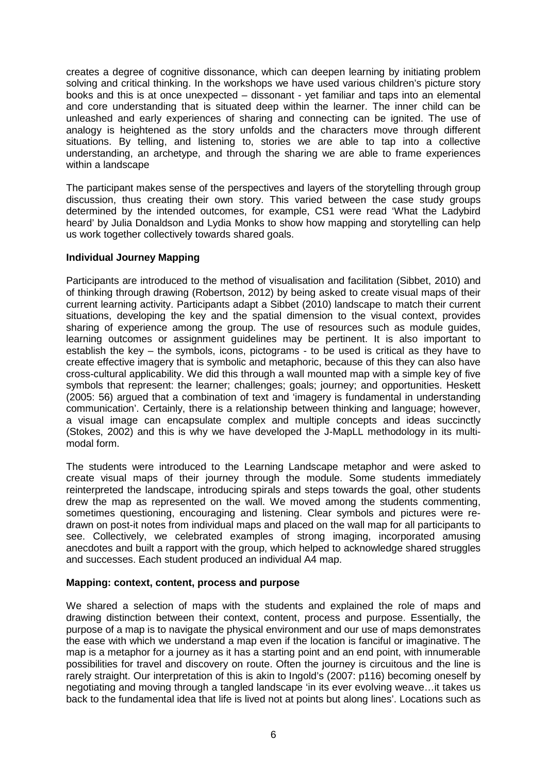creates a degree of cognitive dissonance, which can deepen learning by initiating problem solving and critical thinking. In the workshops we have used various children's picture story books and this is at once unexpected – dissonant - yet familiar and taps into an elemental and core understanding that is situated deep within the learner. The inner child can be unleashed and early experiences of sharing and connecting can be ignited. The use of analogy is heightened as the story unfolds and the characters move through different situations. By telling, and listening to, stories we are able to tap into a collective understanding, an archetype, and through the sharing we are able to frame experiences within a landscape

The participant makes sense of the perspectives and layers of the storytelling through group discussion, thus creating their own story. This varied between the case study groups determined by the intended outcomes, for example, CS1 were read 'What the Ladybird heard' by Julia Donaldson and Lydia Monks to show how mapping and storytelling can help us work together collectively towards shared goals.

#### **Individual Journey Mapping**

Participants are introduced to the method of visualisation and facilitation (Sibbet, 2010) and of thinking through drawing (Robertson, 2012) by being asked to create visual maps of their current learning activity. Participants adapt a Sibbet (2010) landscape to match their current situations, developing the key and the spatial dimension to the visual context, provides sharing of experience among the group. The use of resources such as module guides, learning outcomes or assignment guidelines may be pertinent. It is also important to establish the key – the symbols, icons, pictograms - to be used is critical as they have to create effective imagery that is symbolic and metaphoric, because of this they can also have cross-cultural applicability. We did this through a wall mounted map with a simple key of five symbols that represent: the learner; challenges; goals; journey; and opportunities. Heskett (2005: 56) argued that a combination of text and 'imagery is fundamental in understanding communication'. Certainly, there is a relationship between thinking and language; however, a visual image can encapsulate complex and multiple concepts and ideas succinctly (Stokes, 2002) and this is why we have developed the J-MapLL methodology in its multimodal form.

The students were introduced to the Learning Landscape metaphor and were asked to create visual maps of their journey through the module. Some students immediately reinterpreted the landscape, introducing spirals and steps towards the goal, other students drew the map as represented on the wall. We moved among the students commenting, sometimes questioning, encouraging and listening. Clear symbols and pictures were redrawn on post-it notes from individual maps and placed on the wall map for all participants to see. Collectively, we celebrated examples of strong imaging, incorporated amusing anecdotes and built a rapport with the group, which helped to acknowledge shared struggles and successes. Each student produced an individual A4 map.

#### **Mapping: context, content, process and purpose**

We shared a selection of maps with the students and explained the role of maps and drawing distinction between their context, content, process and purpose. Essentially, the purpose of a map is to navigate the physical environment and our use of maps demonstrates the ease with which we understand a map even if the location is fanciful or imaginative. The map is a metaphor for a journey as it has a starting point and an end point, with innumerable possibilities for travel and discovery on route. Often the journey is circuitous and the line is rarely straight. Our interpretation of this is akin to Ingold's (2007: p116) becoming oneself by negotiating and moving through a tangled landscape 'in its ever evolving weave…it takes us back to the fundamental idea that life is lived not at points but along lines'. Locations such as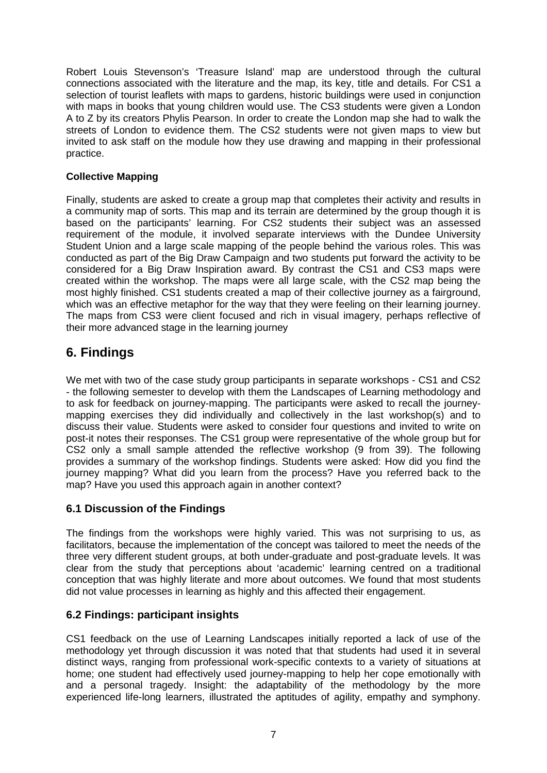Robert Louis Stevenson's 'Treasure Island' map are understood through the cultural connections associated with the literature and the map, its key, title and details. For CS1 a selection of tourist leaflets with maps to gardens, historic buildings were used in conjunction with maps in books that young children would use. The CS3 students were given a London A to Z by its creators Phylis Pearson. In order to create the London map she had to walk the streets of London to evidence them. The CS2 students were not given maps to view but invited to ask staff on the module how they use drawing and mapping in their professional practice.

### **Collective Mapping**

Finally, students are asked to create a group map that completes their activity and results in a community map of sorts. This map and its terrain are determined by the group though it is based on the participants' learning. For CS2 students their subject was an assessed requirement of the module, it involved separate interviews with the Dundee University Student Union and a large scale mapping of the people behind the various roles. This was conducted as part of the Big Draw Campaign and two students put forward the activity to be considered for a Big Draw Inspiration award. By contrast the CS1 and CS3 maps were created within the workshop. The maps were all large scale, with the CS2 map being the most highly finished. CS1 students created a map of their collective journey as a fairground, which was an effective metaphor for the way that they were feeling on their learning journey. The maps from CS3 were client focused and rich in visual imagery, perhaps reflective of their more advanced stage in the learning journey

# **6. Findings**

We met with two of the case study group participants in separate workshops - CS1 and CS2 - the following semester to develop with them the Landscapes of Learning methodology and to ask for feedback on journey-mapping. The participants were asked to recall the journeymapping exercises they did individually and collectively in the last workshop(s) and to discuss their value. Students were asked to consider four questions and invited to write on post-it notes their responses. The CS1 group were representative of the whole group but for CS2 only a small sample attended the reflective workshop (9 from 39). The following provides a summary of the workshop findings. Students were asked: How did you find the journey mapping? What did you learn from the process? Have you referred back to the map? Have you used this approach again in another context?

#### **6.1 Discussion of the Findings**

The findings from the workshops were highly varied. This was not surprising to us, as facilitators, because the implementation of the concept was tailored to meet the needs of the three very different student groups, at both under-graduate and post-graduate levels. It was clear from the study that perceptions about 'academic' learning centred on a traditional conception that was highly literate and more about outcomes. We found that most students did not value processes in learning as highly and this affected their engagement.

#### **6.2 Findings: participant insights**

CS1 feedback on the use of Learning Landscapes initially reported a lack of use of the methodology yet through discussion it was noted that that students had used it in several distinct ways, ranging from professional work-specific contexts to a variety of situations at home; one student had effectively used journey-mapping to help her cope emotionally with and a personal tragedy. Insight: the adaptability of the methodology by the more experienced life-long learners, illustrated the aptitudes of agility, empathy and symphony.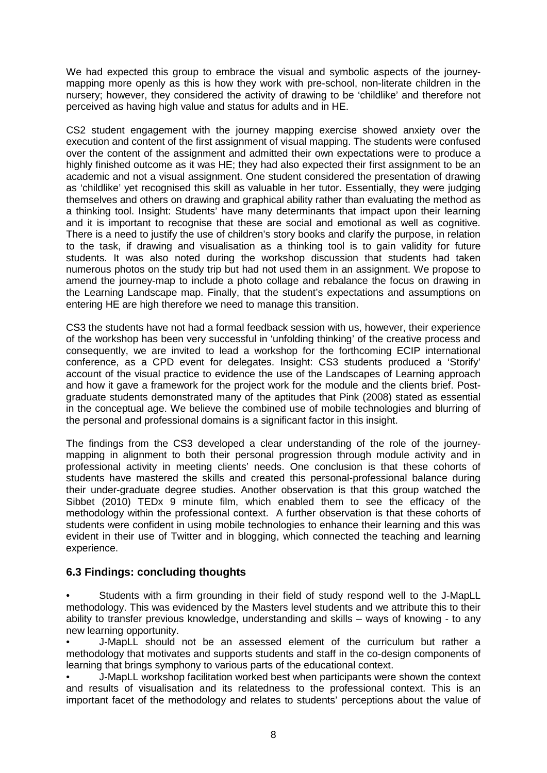We had expected this group to embrace the visual and symbolic aspects of the journeymapping more openly as this is how they work with pre-school, non-literate children in the nursery; however, they considered the activity of drawing to be 'childlike' and therefore not perceived as having high value and status for adults and in HE.

CS2 student engagement with the journey mapping exercise showed anxiety over the execution and content of the first assignment of visual mapping. The students were confused over the content of the assignment and admitted their own expectations were to produce a highly finished outcome as it was HE; they had also expected their first assignment to be an academic and not a visual assignment. One student considered the presentation of drawing as 'childlike' yet recognised this skill as valuable in her tutor. Essentially, they were judging themselves and others on drawing and graphical ability rather than evaluating the method as a thinking tool. Insight: Students' have many determinants that impact upon their learning and it is important to recognise that these are social and emotional as well as cognitive. There is a need to justify the use of children's story books and clarify the purpose, in relation to the task, if drawing and visualisation as a thinking tool is to gain validity for future students. It was also noted during the workshop discussion that students had taken numerous photos on the study trip but had not used them in an assignment. We propose to amend the journey-map to include a photo collage and rebalance the focus on drawing in the Learning Landscape map. Finally, that the student's expectations and assumptions on entering HE are high therefore we need to manage this transition.

CS3 the students have not had a formal feedback session with us, however, their experience of the workshop has been very successful in 'unfolding thinking' of the creative process and consequently, we are invited to lead a workshop for the forthcoming ECIP international conference, as a CPD event for delegates. Insight: CS3 students produced a 'Storify' account of the visual practice to evidence the use of the Landscapes of Learning approach and how it gave a framework for the project work for the module and the clients brief. Postgraduate students demonstrated many of the aptitudes that Pink (2008) stated as essential in the conceptual age. We believe the combined use of mobile technologies and blurring of the personal and professional domains is a significant factor in this insight.

The findings from the CS3 developed a clear understanding of the role of the journeymapping in alignment to both their personal progression through module activity and in professional activity in meeting clients' needs. One conclusion is that these cohorts of students have mastered the skills and created this personal-professional balance during their under-graduate degree studies. Another observation is that this group watched the Sibbet (2010) TEDx 9 minute film, which enabled them to see the efficacy of the methodology within the professional context. A further observation is that these cohorts of students were confident in using mobile technologies to enhance their learning and this was evident in their use of Twitter and in blogging, which connected the teaching and learning experience.

#### **6.3 Findings: concluding thoughts**

• Students with a firm grounding in their field of study respond well to the J-MapLL methodology. This was evidenced by the Masters level students and we attribute this to their ability to transfer previous knowledge, understanding and skills – ways of knowing - to any new learning opportunity.

• J-MapLL should not be an assessed element of the curriculum but rather a methodology that motivates and supports students and staff in the co-design components of learning that brings symphony to various parts of the educational context.

• J-MapLL workshop facilitation worked best when participants were shown the context and results of visualisation and its relatedness to the professional context. This is an important facet of the methodology and relates to students' perceptions about the value of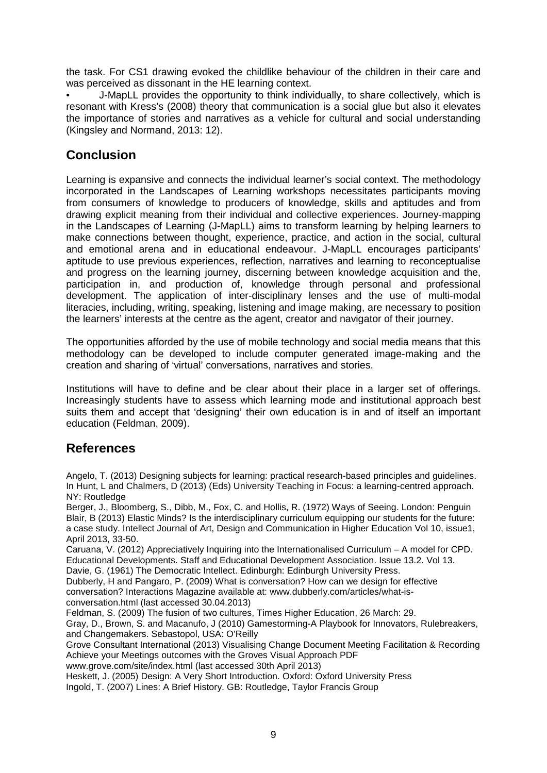the task. For CS1 drawing evoked the childlike behaviour of the children in their care and was perceived as dissonant in the HE learning context.

• J-MapLL provides the opportunity to think individually, to share collectively, which is resonant with Kress's (2008) theory that communication is a social glue but also it elevates the importance of stories and narratives as a vehicle for cultural and social understanding (Kingsley and Normand, 2013: 12).

# **Conclusion**

Learning is expansive and connects the individual learner's social context. The methodology incorporated in the Landscapes of Learning workshops necessitates participants moving from consumers of knowledge to producers of knowledge, skills and aptitudes and from drawing explicit meaning from their individual and collective experiences. Journey-mapping in the Landscapes of Learning (J-MapLL) aims to transform learning by helping learners to make connections between thought, experience, practice, and action in the social, cultural and emotional arena and in educational endeavour. J-MapLL encourages participants' aptitude to use previous experiences, reflection, narratives and learning to reconceptualise and progress on the learning journey, discerning between knowledge acquisition and the, participation in, and production of, knowledge through personal and professional development. The application of inter-disciplinary lenses and the use of multi-modal literacies, including, writing, speaking, listening and image making, are necessary to position the learners' interests at the centre as the agent, creator and navigator of their journey.

The opportunities afforded by the use of mobile technology and social media means that this methodology can be developed to include computer generated image-making and the creation and sharing of 'virtual' conversations, narratives and stories.

Institutions will have to define and be clear about their place in a larger set of offerings. Increasingly students have to assess which learning mode and institutional approach best suits them and accept that 'designing' their own education is in and of itself an important education (Feldman, 2009).

## **References**

Angelo, T. (2013) Designing subjects for learning: practical research-based principles and guidelines. In Hunt, L and Chalmers, D (2013) (Eds) University Teaching in Focus: a learning-centred approach. NY: Routledge

Berger, J., Bloomberg, S., Dibb, M., Fox, C. and Hollis, R. (1972) Ways of Seeing. London: Penguin Blair, B (2013) Elastic Minds? Is the interdisciplinary curriculum equipping our students for the future: a case study. Intellect Journal of Art, Design and Communication in Higher Education Vol 10, issue1, April 2013, 33-50.

Caruana, V. (2012) Appreciatively Inquiring into the Internationalised Curriculum – A model for CPD. Educational Developments. Staff and Educational Development Association. Issue 13.2. Vol 13.

Davie, G. (1961) The Democratic Intellect. Edinburgh: Edinburgh University Press.

Dubberly, H and Pangaro, P. (2009) What is conversation? How can we design for effective conversation? Interactions Magazine available at: www.dubberly.com/articles/what-isconversation.html (last accessed 30.04.2013)

Feldman, S. (2009) The fusion of two cultures, Times Higher Education, 26 March: 29.

Gray, D., Brown, S. and Macanufo, J (2010) Gamestorming-A Playbook for Innovators, Rulebreakers, and Changemakers. Sebastopol, USA: O'Reilly

Grove Consultant International (2013) Visualising Change Document Meeting Facilitation & Recording Achieve your Meetings outcomes with the Groves Visual Approach PDF

www.grove.com/site/index.html (last accessed 30th April 2013)

Heskett, J. (2005) Design: A Very Short Introduction. Oxford: Oxford University Press Ingold, T. (2007) Lines: A Brief History. GB: Routledge, Taylor Francis Group